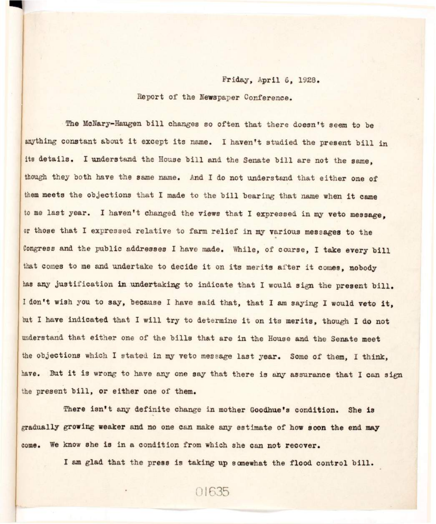## Friday, April 6, 1928.

Report of the Newspaper Conference.

The McNary-Haugen bill changes so often that there doesn't seem to be anything constant about it except its name. I haven't studied the present bill in its details. I understand the House bill and the Senate bill are not the same. though they both have the same name. And I do not understand that either one of them meets the objections that I made to the bill bearing that name when it came to me last year. I haven't changed the views that I expressed in my veto message. or those that I expressed relative to farm relief in my various messages to the Congress and the public addresses I have made. While, of course, I take every bill that comes to me and undertake to decide it on its merits after it comes, nobody has any justification in undertaking to indicate that I would sign the present bill. I don't wish you to say, because I have said that, that I am saying I would veto it. but I have indicated that I will try to determine it on its merits, though I do not understand that either one of the bills that are in the House and the Senate meet the objections which I stated in my veto message last year. Some of them, I think, have. But it is wrong to have any one say that there is any assurance that I can sign the present bill, or either one of them.

There isn't any definite change in mother Goodhue's condition. She is gradually growing weaker and no one can make any estimate of how soon the end may come. We know she is in a condition from which she can not recover.

I am glad that the press is taking up somewhat the flood control bill.

01635